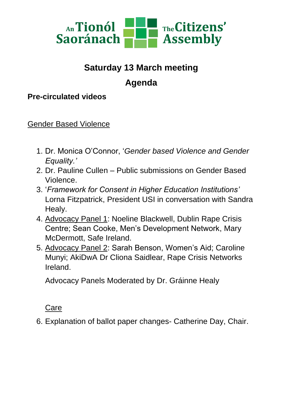

# **Saturday 13 March meeting Agenda**

### **Pre-circulated videos**

Gender Based Violence

- 1. Dr. Monica O'Connor, '*Gender based Violence and Gender Equality.'*
- 2. Dr. Pauline Cullen Public submissions on Gender Based Violence.
- 3. '*Framework for Consent in Higher Education Institutions'* Lorna Fitzpatrick, President USI in conversation with Sandra Healy.
- 4. Advocacy Panel 1: Noeline Blackwell, Dublin Rape Crisis Centre; Sean Cooke, Men's Development Network, Mary McDermott, Safe Ireland.
- 5. Advocacy Panel 2: Sarah Benson, Women's Aid; Caroline Munyi; AkiDwA Dr Cliona Saidlear, Rape Crisis Networks Ireland.

Advocacy Panels Moderated by Dr. Gráinne Healy

Care

6. Explanation of ballot paper changes- Catherine Day, Chair.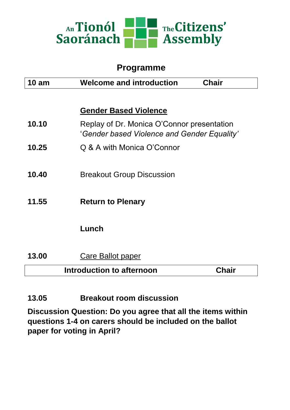

### **Programme**

| $10 \text{ am}$ | <b>Welcome and introduction</b><br><b>Chair</b>                                           |
|-----------------|-------------------------------------------------------------------------------------------|
|                 |                                                                                           |
|                 | <b>Gender Based Violence</b>                                                              |
| 10.10           | Replay of Dr. Monica O'Connor presentation<br>'Gender based Violence and Gender Equality' |
| 10.25           | Q & A with Monica O'Connor                                                                |
|                 |                                                                                           |
| 10.40           | <b>Breakout Group Discussion</b>                                                          |
|                 |                                                                                           |
| 11.55           | <b>Return to Plenary</b>                                                                  |
|                 |                                                                                           |
|                 | Lunch                                                                                     |
|                 |                                                                                           |
| 13.00           | <b>Care Ballot paper</b>                                                                  |
|                 | Introduction to afternoon<br><b>Chair</b>                                                 |
|                 |                                                                                           |
|                 |                                                                                           |

**13.05 Breakout room discussion**

**Discussion Question: Do you agree that all the items within questions 1-4 on carers should be included on the ballot paper for voting in April?**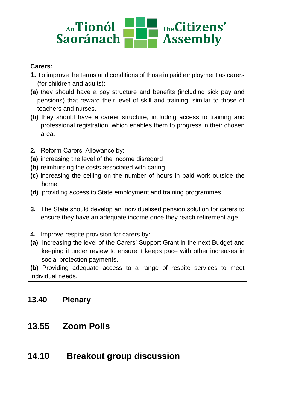#### <sub>An</sub>Tionól The Citizens' **Saoránach Assembly**

#### **Carers:**

- **1.** To improve the terms and conditions of those in paid employment as carers (for children and adults):
- **(a)** they should have a pay structure and benefits (including sick pay and pensions) that reward their level of skill and training, similar to those of teachers and nurses.
- **(b)** they should have a career structure, including access to training and professional registration, which enables them to progress in their chosen area.
- **2.** Reform Carers' Allowance by:
- **(a)** increasing the level of the income disregard
- **(b)** reimbursing the costs associated with caring
- **(c)** increasing the ceiling on the number of hours in paid work outside the home.
- **(d)** providing access to State employment and training programmes.
- **3.** The State should develop an individualised pension solution for carers to ensure they have an adequate income once they reach retirement age.
- **4.** Improve respite provision for carers by:
- **(a)** Increasing the level of the Carers' Support Grant in the next Budget and keeping it under review to ensure it keeps pace with other increases in social protection payments.

**(b)** Providing adequate access to a range of respite services to meet individual needs.

### **13.40 Plenary**

- **13.55 Zoom Polls**
- **14.10 Breakout group discussion**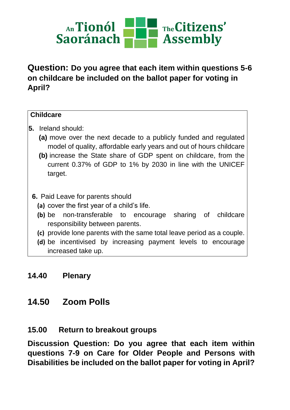

**Question: Do you agree that each item within questions 5-6 on childcare be included on the ballot paper for voting in April?**

#### **Childcare**

- **5.** Ireland should:
	- **(a)** move over the next decade to a publicly funded and regulated model of quality, affordable early years and out of hours childcare
	- **(b)** increase the State share of GDP spent on childcare, from the current 0.37% of GDP to 1% by 2030 in line with the UNICEF target.

#### **6.** Paid Leave for parents should

- **(a)** cover the first year of a child's life.
- **(b)** be non-transferable to encourage sharing of childcare responsibility between parents.
- **(c)** provide lone parents with the same total leave period as a couple.
- **(d)** be incentivised by increasing payment levels to encourage increased take up.

#### **14.40 Plenary**

### **14.50 Zoom Polls**

#### **15.00 Return to breakout groups**

**Discussion Question: Do you agree that each item within questions 7-9 on Care for Older People and Persons with Disabilities be included on the ballot paper for voting in April?**